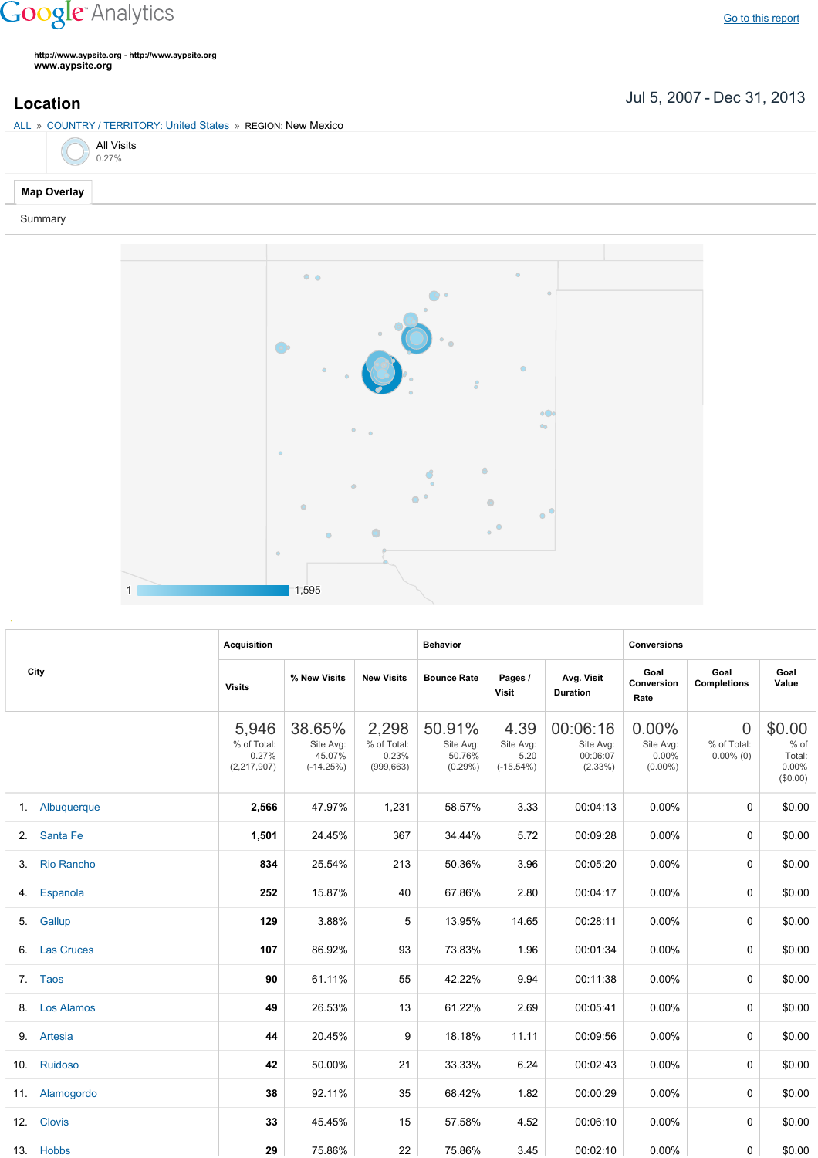## **Google** Analytics

**http://www.aypsite.org http://www.aypsite.org www.aypsite.org**

Jul 5, 2007 Dec 31, 2013 **Location**

ALL » COUNTRY / TERRITORY: United States » REGION: New Mexico

|  | <b>All Visits</b><br>0.27% |
|--|----------------------------|
|  |                            |

## **Map Overlay**

Summary



| City | <b>Acquisition</b> |                                                |                                              | <b>Behavior</b>                             |                                             |                                          | <b>Conversions</b>                              |                                              |                                         |                                                 |
|------|--------------------|------------------------------------------------|----------------------------------------------|---------------------------------------------|---------------------------------------------|------------------------------------------|-------------------------------------------------|----------------------------------------------|-----------------------------------------|-------------------------------------------------|
|      | <b>Visits</b>      | % New Visits                                   | <b>New Visits</b>                            | <b>Bounce Rate</b>                          | Pages /<br><b>Visit</b>                     | Avg. Visit<br><b>Duration</b>            | Goal<br>Conversion<br>Rate                      | Goal<br><b>Completions</b>                   | Goal<br>Value                           |                                                 |
|      |                    | 5,946<br>% of Total:<br>0.27%<br>(2, 217, 907) | 38.65%<br>Site Avg:<br>45.07%<br>$(-14.25%)$ | 2,298<br>% of Total:<br>0.23%<br>(999, 663) | 50.91%<br>Site Avg:<br>50.76%<br>$(0.29\%)$ | 4.39<br>Site Avg:<br>5.20<br>$(-15.54%)$ | 00:06:16<br>Site Avg:<br>00:06:07<br>$(2.33\%)$ | 0.00%<br>Site Avg:<br>$0.00\%$<br>$(0.00\%)$ | $\Omega$<br>% of Total:<br>$0.00\%$ (0) | \$0.00<br>$%$ of<br>Total:<br>0.00%<br>(\$0.00) |
|      | 1. Albuquerque     | 2,566                                          | 47.97%                                       | 1,231                                       | 58.57%                                      | 3.33                                     | 00:04:13                                        | $0.00\%$                                     | 0                                       | \$0.00                                          |
|      | 2. Santa Fe        | 1,501                                          | 24.45%                                       | 367                                         | 34.44%                                      | 5.72                                     | 00:09:28                                        | $0.00\%$                                     | 0                                       | \$0.00                                          |
| 3.   | <b>Rio Rancho</b>  | 834                                            | 25.54%                                       | 213                                         | 50.36%                                      | 3.96                                     | 00:05:20                                        | $0.00\%$                                     | $\Omega$                                | \$0.00                                          |
|      | 4. Espanola        | 252                                            | 15.87%                                       | 40                                          | 67.86%                                      | 2.80                                     | 00:04:17                                        | $0.00\%$                                     | 0                                       | \$0.00                                          |
|      | 5. Gallup          | 129                                            | 3.88%                                        | 5                                           | 13.95%                                      | 14.65                                    | 00:28:11                                        | $0.00\%$                                     | 0                                       | \$0.00                                          |
|      | 6. Las Cruces      | 107                                            | 86.92%                                       | 93                                          | 73.83%                                      | 1.96                                     | 00:01:34                                        | $0.00\%$                                     | $\Omega$                                | \$0.00                                          |
|      | 7. Taos            | 90                                             | 61.11%                                       | 55                                          | 42.22%                                      | 9.94                                     | 00:11:38                                        | $0.00\%$                                     | 0                                       | \$0.00                                          |
|      | 8. Los Alamos      | 49                                             | 26.53%                                       | 13                                          | 61.22%                                      | 2.69                                     | 00:05:41                                        | 0.00%                                        | $\Omega$                                | \$0.00                                          |
|      | 9. Artesia         | 44                                             | 20.45%                                       | 9                                           | 18.18%                                      | 11.11                                    | 00:09:56                                        | $0.00\%$                                     | $\Omega$                                | \$0.00                                          |
|      | 10. Ruidoso        | 42                                             | 50.00%                                       | 21                                          | 33.33%                                      | 6.24                                     | 00:02:43                                        | 0.00%                                        | $\Omega$                                | \$0.00                                          |
|      | 11. Alamogordo     | 38                                             | 92.11%                                       | 35                                          | 68.42%                                      | 1.82                                     | 00:00:29                                        | $0.00\%$                                     | $\Omega$                                | \$0.00                                          |
|      | 12. Clovis         | 33                                             | 45.45%                                       | 15                                          | 57.58%                                      | 4.52                                     | 00:06:10                                        | $0.00\%$                                     | $\Omega$                                | \$0.00                                          |
|      | 13. Hobbs          | 29                                             | 75.86%                                       | 22                                          | 75.86%                                      | 3.45                                     | 00:02:10                                        | $0.00\%$                                     | 0                                       | \$0.00                                          |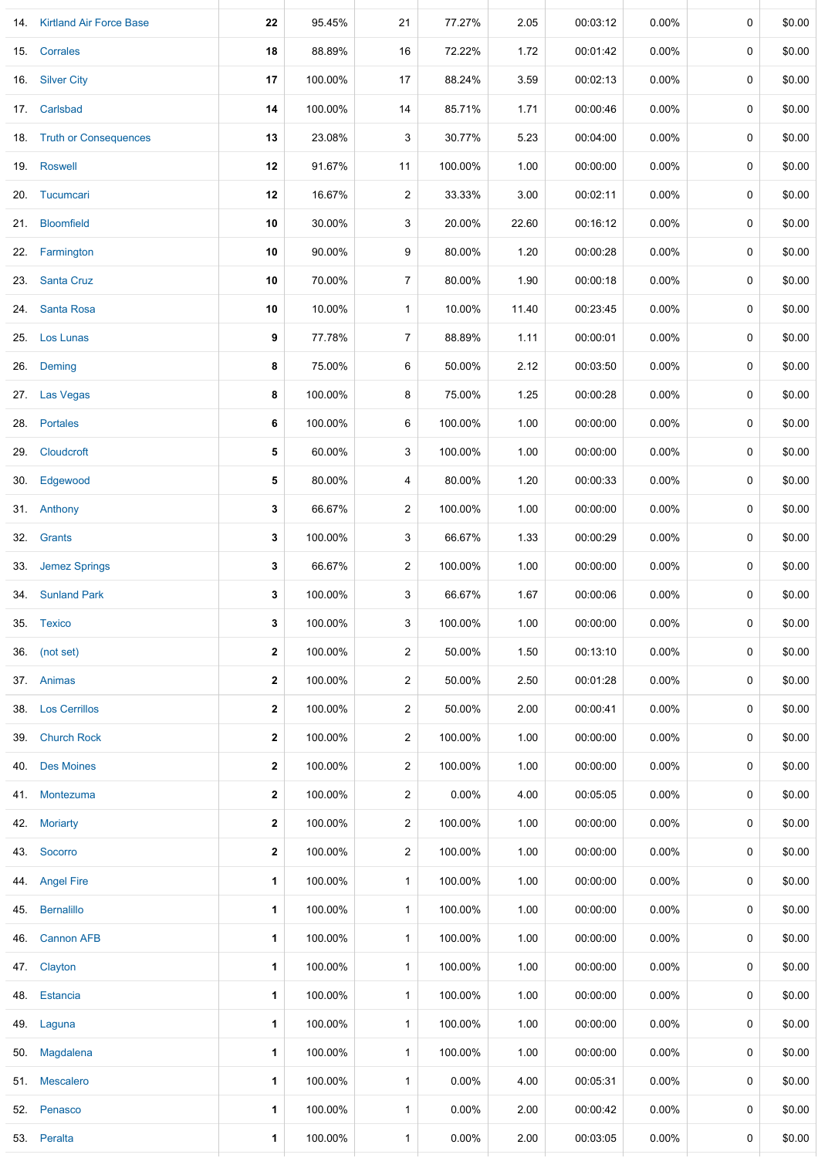|     | 14. Kirtland Air Force Base | 22                   | 95.45%  | 21             | 77.27%   | 2.05  | 00:03:12 | 0.00%    | 0           | \$0.00 |
|-----|-----------------------------|----------------------|---------|----------------|----------|-------|----------|----------|-------------|--------|
|     | 15. Corrales                | 18                   | 88.89%  | 16             | 72.22%   | 1.72  | 00:01:42 | $0.00\%$ | 0           | \$0.00 |
| 16. | <b>Silver City</b>          | 17                   | 100.00% | 17             | 88.24%   | 3.59  | 00:02:13 | $0.00\%$ | 0           | \$0.00 |
|     | 17. Carlsbad                | 14                   | 100.00% | 14             | 85.71%   | 1.71  | 00:00:46 | $0.00\%$ | 0           | \$0.00 |
|     | 18. Truth or Consequences   | 13                   | 23.08%  | 3              | 30.77%   | 5.23  | 00:04:00 | $0.00\%$ | 0           | \$0.00 |
|     | 19. Roswell                 | 12                   | 91.67%  | 11             | 100.00%  | 1.00  | 00:00:00 | $0.00\%$ | 0           | \$0.00 |
|     | 20. Tucumcari               | 12                   | 16.67%  | 2              | 33.33%   | 3.00  | 00:02:11 | 0.00%    | 0           | \$0.00 |
|     | 21. Bloomfield              | 10                   | 30.00%  | 3              | 20.00%   | 22.60 | 00:16:12 | $0.00\%$ | 0           | \$0.00 |
|     | 22. Farmington              | 10                   | 90.00%  | 9              | 80.00%   | 1.20  | 00:00:28 | $0.00\%$ | 0           | \$0.00 |
|     | 23. Santa Cruz              | 10                   | 70.00%  | $\overline{7}$ | 80.00%   | 1.90  | 00:00:18 | $0.00\%$ | 0           | \$0.00 |
| 24. | <b>Santa Rosa</b>           | 10                   | 10.00%  | 1              | 10.00%   | 11.40 | 00:23:45 | $0.00\%$ | 0           | \$0.00 |
| 25. | Los Lunas                   | 9                    | 77.78%  | $\overline{7}$ | 88.89%   | 1.11  | 00:00:01 | $0.00\%$ | 0           | \$0.00 |
| 26. | Deming                      | 8                    | 75.00%  | 6              | 50.00%   | 2.12  | 00:03:50 | 0.00%    | 0           | \$0.00 |
| 27. | Las Vegas                   | 8                    | 100.00% | 8              | 75.00%   | 1.25  | 00:00:28 | $0.00\%$ | 0           | \$0.00 |
|     | 28. Portales                | 6                    | 100.00% | 6              | 100.00%  | 1.00  | 00:00:00 | $0.00\%$ | 0           | \$0.00 |
| 29. | Cloudcroft                  | 5                    | 60.00%  | 3              | 100.00%  | 1.00  | 00:00:00 | $0.00\%$ | 0           | \$0.00 |
|     | 30. Edgewood                | 5                    | 80.00%  | 4              | 80.00%   | 1.20  | 00:00:33 | $0.00\%$ | 0           | \$0.00 |
|     | 31. Anthony                 | 3                    | 66.67%  | $\overline{c}$ | 100.00%  | 1.00  | 00:00:00 | $0.00\%$ | 0           | \$0.00 |
|     | 32. Grants                  | 3                    | 100.00% | 3              | 66.67%   | 1.33  | 00:00:29 | $0.00\%$ | 0           | \$0.00 |
|     | 33. Jemez Springs           | 3                    | 66.67%  | $\overline{c}$ | 100.00%  | 1.00  | 00:00:00 | $0.00\%$ | 0           | \$0.00 |
|     | 34. Sunland Park            | 3                    | 100.00% | 3              | 66.67%   | 1.67  | 00:00:06 | $0.00\%$ | $\mathbf 0$ | \$0.00 |
|     | 35. Texico                  | 3                    | 100.00% | 3              | 100.00%  | 1.00  | 00:00:00 | 0.00%    | 0           | \$0.00 |
|     | 36. (not set)               | $\mathbf{2}$         | 100.00% | $\overline{2}$ | 50.00%   | 1.50  | 00:13:10 | $0.00\%$ | 0           | \$0.00 |
|     | 37. Animas                  | $\mathbf{2}$         | 100.00% | $\overline{a}$ | 50.00%   | 2.50  | 00:01:28 | $0.00\%$ | 0           | \$0.00 |
|     | 38. Los Cerrillos           | $\mathbf{2}$         | 100.00% | $\overline{c}$ | 50.00%   | 2.00  | 00:00:41 | 0.00%    | 0           | \$0.00 |
|     | 39. Church Rock             | $\mathbf{2}$         | 100.00% | $\overline{c}$ | 100.00%  | 1.00  | 00:00:00 | $0.00\%$ | 0           | \$0.00 |
| 40. | <b>Des Moines</b>           | $\mathbf{2}$         | 100.00% | $\overline{a}$ | 100.00%  | 1.00  | 00:00:00 | $0.00\%$ | 0           | \$0.00 |
| 41. | Montezuma                   | $\mathbf{2}$         | 100.00% | $\overline{c}$ | 0.00%    | 4.00  | 00:05:05 | $0.00\%$ | 0           | \$0.00 |
| 42. | <b>Moriarty</b>             | $\mathbf{2}$         | 100.00% | $\overline{a}$ | 100.00%  | 1.00  | 00:00:00 | $0.00\%$ | 0           | \$0.00 |
| 43. | Socorro                     | $\mathbf{2}$         | 100.00% | $\overline{c}$ | 100.00%  | 1.00  | 00:00:00 | $0.00\%$ | 0           | \$0.00 |
| 44. | <b>Angel Fire</b>           | 1                    | 100.00% | $\mathbf{1}$   | 100.00%  | 1.00  | 00:00:00 | $0.00\%$ | 0           | \$0.00 |
| 45. | <b>Bernalillo</b>           | $\blacktriangleleft$ | 100.00% | $\mathbf{1}$   | 100.00%  | 1.00  | 00:00:00 | $0.00\%$ | 0           | \$0.00 |
| 46. | <b>Cannon AFB</b>           | 1                    | 100.00% | $\mathbf{1}$   | 100.00%  | 1.00  | 00:00:00 | $0.00\%$ | 0           | \$0.00 |
|     | 47. Clayton                 | $\mathbf{1}$         | 100.00% | $\mathbf{1}$   | 100.00%  | 1.00  | 00:00:00 | $0.00\%$ | 0           | \$0.00 |
| 48. | Estancia                    | 1                    | 100.00% | $\mathbf{1}$   | 100.00%  | 1.00  | 00:00:00 | $0.00\%$ | 0           | \$0.00 |
| 49. | Laguna                      | $\mathbf 1$          | 100.00% | 1              | 100.00%  | 1.00  | 00:00:00 | $0.00\%$ | 0           | \$0.00 |
|     | 50. Magdalena               | $\blacktriangleleft$ | 100.00% | 1              | 100.00%  | 1.00  | 00:00:00 | $0.00\%$ | 0           | \$0.00 |
|     | 51. Mescalero               | $\mathbf{1}$         | 100.00% | $\mathbf{1}$   | 0.00%    | 4.00  | 00:05:31 | $0.00\%$ | 0           | \$0.00 |
|     | 52. Penasco                 | 1                    | 100.00% | 1              | $0.00\%$ | 2.00  | 00:00:42 | $0.00\%$ | 0           | \$0.00 |
|     | 53. Peralta                 | $\mathbf{1}$         | 100.00% | $\mathbf{1}$   | 0.00%    | 2.00  | 00:03:05 | 0.00%    | 0           | \$0.00 |